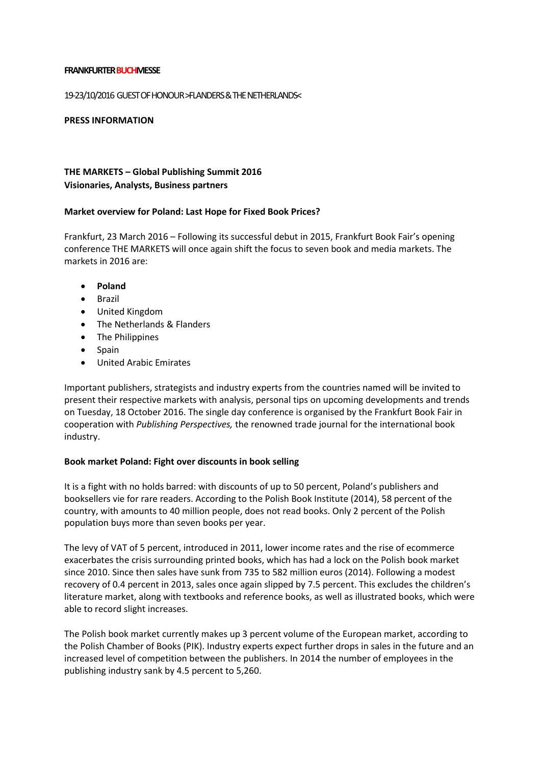#### **FRANKFURTER BUCHMESSE**

#### 19-23/10/2016 GUEST OF HONOUR >FLANDERS & THE NETHERLANDS<

#### **PRESS INFORMATION**

# **THE MARKETS – Global Publishing Summit 2016 Visionaries, Analysts, Business partners**

### **Market overview for Poland: Last Hope for Fixed Book Prices?**

Frankfurt, 23 March 2016 – Following its successful debut in 2015, Frankfurt Book Fair's opening conference THE MARKETS will once again shift the focus to seven book and media markets. The markets in 2016 are:

- **Poland**
- Brazil
- United Kingdom
- The Netherlands & Flanders
- The Philippines
- Spain
- United Arabic Emirates

Important publishers, strategists and industry experts from the countries named will be invited to present their respective markets with analysis, personal tips on upcoming developments and trends on Tuesday, 18 October 2016. The single day conference is organised by the Frankfurt Book Fair in cooperation with *Publishing Perspectives,* the renowned trade journal for the international book industry.

### **Book market Poland: Fight over discounts in book selling**

It is a fight with no holds barred: with discounts of up to 50 percent, Poland's publishers and booksellers vie for rare readers. According to the Polish Book Institute (2014), 58 percent of the country, with amounts to 40 million people, does not read books. Only 2 percent of the Polish population buys more than seven books per year.

The levy of VAT of 5 percent, introduced in 2011, lower income rates and the rise of ecommerce exacerbates the crisis surrounding printed books, which has had a lock on the Polish book market since 2010. Since then sales have sunk from 735 to 582 million euros (2014). Following a modest recovery of 0.4 percent in 2013, sales once again slipped by 7.5 percent. This excludes the children's literature market, along with textbooks and reference books, as well as illustrated books, which were able to record slight increases.

The Polish book market currently makes up 3 percent volume of the European market, according to the Polish Chamber of Books (PIK). Industry experts expect further drops in sales in the future and an increased level of competition between the publishers. In 2014 the number of employees in the publishing industry sank by 4.5 percent to 5,260.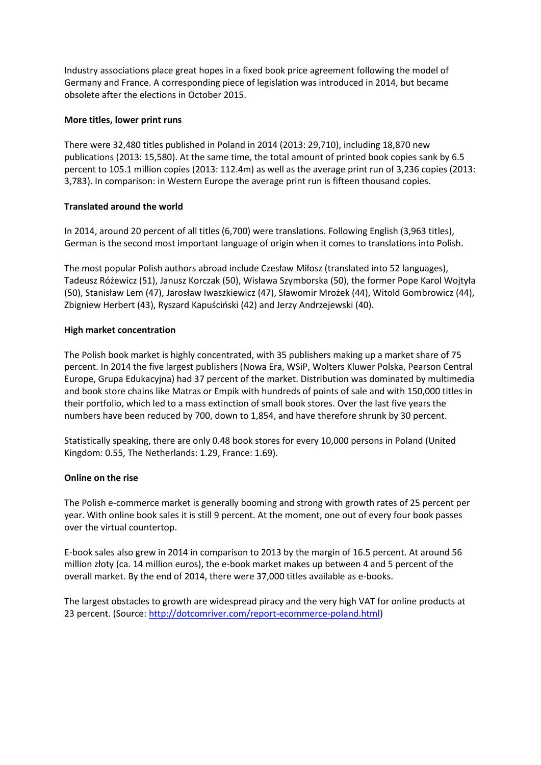Industry associations place great hopes in a fixed book price agreement following the model of Germany and France. A corresponding piece of legislation was introduced in 2014, but became obsolete after the elections in October 2015.

## **More titles, lower print runs**

There were 32,480 titles published in Poland in 2014 (2013: 29,710), including 18,870 new publications (2013: 15,580). At the same time, the total amount of printed book copies sank by 6.5 percent to 105.1 million copies (2013: 112.4m) as well as the average print run of 3,236 copies (2013: 3,783). In comparison: in Western Europe the average print run is fifteen thousand copies.

## **Translated around the world**

In 2014, around 20 percent of all titles (6,700) were translations. Following English (3,963 titles), German is the second most important language of origin when it comes to translations into Polish.

The most popular Polish authors abroad include Czesław Miłosz (translated into 52 languages), Tadeusz Różewicz (51), Janusz Korczak (50), Wisława Szymborska (50), the former Pope Karol Wojtyła (50), Stanisław Lem (47), Jarosław Iwaszkiewicz (47), Sławomir Mrożek (44), Witold Gombrowicz (44), Zbigniew Herbert (43), Ryszard Kapuściński (42) and Jerzy Andrzejewski (40).

## **High market concentration**

The Polish book market is highly concentrated, with 35 publishers making up a market share of 75 percent. In 2014 the five largest publishers (Nowa Era, WSiP, Wolters Kluwer Polska, Pearson Central Europe, Grupa Edukacyjna) had 37 percent of the market. Distribution was dominated by multimedia and book store chains like Matras or Empik with hundreds of points of sale and with 150,000 titles in their portfolio, which led to a mass extinction of small book stores. Over the last five years the numbers have been reduced by 700, down to 1,854, and have therefore shrunk by 30 percent.

Statistically speaking, there are only 0.48 book stores for every 10,000 persons in Poland (United Kingdom: 0.55, The Netherlands: 1.29, France: 1.69).

### **Online on the rise**

The Polish e-commerce market is generally booming and strong with growth rates of 25 percent per year. With online book sales it is still 9 percent. At the moment, one out of every four book passes over the virtual countertop.

E-book sales also grew in 2014 in comparison to 2013 by the margin of 16.5 percent. At around 56 million złoty (ca. 14 million euros), the e-book market makes up between 4 and 5 percent of the overall market. By the end of 2014, there were 37,000 titles available as e-books.

The largest obstacles to growth are widespread piracy and the very high VAT for online products at 23 percent. (Source: [http://dotcomriver.com/report-ecommerce-poland.html\)](http://dotcomriver.com/report-ecommerce-poland.html)